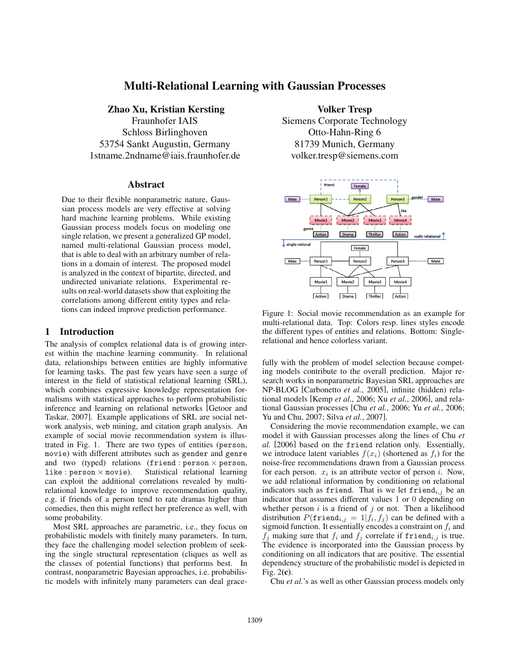# Multi-Relational Learning with Gaussian Processes

Zhao Xu, Kristian Kersting Fraunhofer IAIS Schloss Birlinghoven 53754 Sankt Augustin, Germany 1stname.2ndname@iais.fraunhofer.de

#### **Abstract**

Due to their flexible nonparametric nature, Gaussian process models are very effective at solving hard machine learning problems. While existing Gaussian process models focus on modeling one single relation, we present a generalized GP model, named multi-relational Gaussian process model, that is able to deal with an arbitrary number of relations in a domain of interest. The proposed model is analyzed in the context of bipartite, directed, and undirected univariate relations. Experimental results on real-world datasets show that exploiting the correlations among different entity types and relations can indeed improve prediction performance.

### 1 Introduction

The analysis of complex relational data is of growing interest within the machine learning community. In relational data, relationships between entities are highly informative for learning tasks. The past few years have seen a surge of interest in the field of statistical relational learning (SRL), which combines expressive knowledge representation formalisms with statistical approaches to perform probabilistic inference and learning on relational networks [Getoor and Taskar, 2007]. Example applications of SRL are social network analysis, web mining, and citation graph analysis. An example of social movie recommendation system is illustrated in Fig. 1. There are two types of entities (person, movie) with different attributes such as gender and genre and two (typed) relations (friend : person  $\times$  person, like : person  $\times$  movie). Statistical relational learning like : person <sup>×</sup> movie). Statistical relational learning can exploit the additional correlations revealed by multirelational knowledge to improve recommendation quality, e.g. if friends of a person tend to rate dramas higher than comedies, then this might reflect her preference as well, with some probability.

Most SRL approaches are parametric, i.e., they focus on probabilistic models with finitely many parameters. In turn, they face the challenging model selection problem of seeking the single structural representation (cliques as well as the classes of potential functions) that performs best. In contrast, nonparametric Bayesian approaches, i.e. probabilistic models with infinitely many parameters can deal grace-

Volker Tresp Siemens Corporate Technology Otto-Hahn-Ring 6 81739 Munich, Germany volker.tresp@siemens.com



Figure 1: Social movie recommendation as an example for multi-relational data. Top: Colors resp. lines styles encode the different types of entities and relations. Bottom: Singlerelational and hence colorless variant.

fully with the problem of model selection because competing models contribute to the overall prediction. Major research works in nonparametric Bayesian SRL approaches are NP-BLOG [Carbonetto *et al.*, 2005], infinite (hidden) relational models [Kemp *et al.*, 2006; Xu *et al.*, 2006], and relational Gaussian processes [Chu *et al.*, 2006; Yu *et al.*, 2006; Yu and Chu, 2007; Silva *et al.*, 2007].

Considering the movie recommendation example, we can model it with Gaussian processes along the lines of Chu *et al.* [2006] based on the friend relation only. Essentially, we introduce latent variables  $f(x_i)$  (shortened as  $f_i$ ) for the noise-free recommendations drawn from a Gaussian process for each person.  $x_i$  is an attribute vector of person i. Now, we add relational information by conditioning on relational indicators such as friend. That is we let friend<sub>i,j</sub> be an indicator that assumes different values 1 or 0 depending on whether person  $i$  is a friend of  $j$  or not. Then a likelihood distribution  $P(\text{friend}_{i,j} = 1 | f_i, f_j)$  can be defined with a sigmoid function. It essentially encodes a constraint on  $f_i$  and  $f_j$  making sure that  $f_i$  and  $f_j$  correlate if friend<sub>i,j</sub> is true. The evidence is incorporated into the Gaussian process by conditioning on all indicators that are positive. The essential dependency structure of the probabilistic model is depicted in Fig. 2(c).

Chu *et al.*'s as well as other Gaussian process models only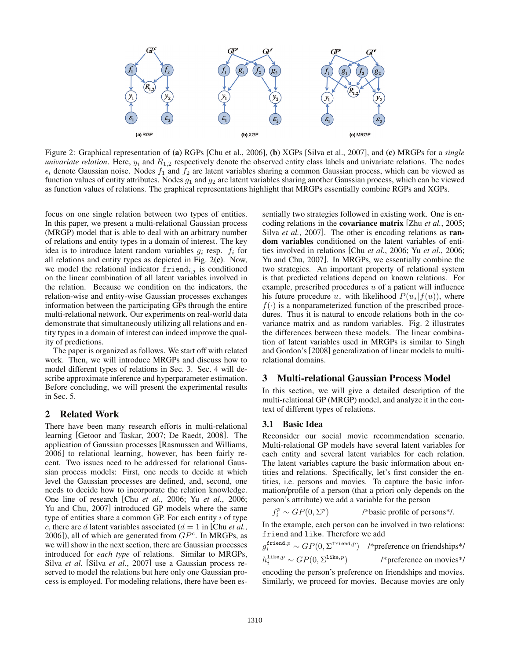

Figure 2: Graphical representation of (a) RGPs [Chu et al., 2006], (b) XGPs [Silva et al., 2007], and (c) MRGPs for a *single univariate relation*. Here,  $y_i$  and  $R_{1,2}$  respectively denote the observed entity class labels and univariate relations. The nodes  $\epsilon_i$  denote Gaussian noise. Nodes  $f_1$  and  $f_2$  are latent variables sharing a common Gaussian process, which can be viewed as function values of entity attributes. Nodes  $g_1$  and  $g_2$  are latent variables sharing another Gaussian process, which can be viewed as function values of relations. The graphical representations highlight that MRGPs essentially combine RGPs and XGPs.

focus on one single relation between two types of entities. In this paper, we present a multi-relational Gaussian process (MRGP) model that is able to deal with an arbitrary number of relations and entity types in a domain of interest. The key idea is to introduce latent random variables  $g_i$  resp.  $f_i$  for all relations and entity types as depicted in Fig. 2(c). Now, we model the relational indicator  $f$ riend $i,j$  is conditioned on the linear combination of all latent variables involved in the relation. Because we condition on the indicators, the relation-wise and entity-wise Gaussian processes exchanges information between the participating GPs through the entire multi-relational network. Our experiments on real-world data demonstrate that simultaneously utilizing all relations and entity types in a domain of interest can indeed improve the quality of predictions.

The paper is organized as follows. We start off with related work. Then, we will introduce MRGPs and discuss how to model different types of relations in Sec. 3. Sec. 4 will describe approximate inference and hyperparameter estimation. Before concluding, we will present the experimental results in Sec. 5.

### 2 Related Work

There have been many research efforts in multi-relational learning [Getoor and Taskar, 2007; De Raedt, 2008]. The application of Gaussian processes [Rasmussen and Williams, 2006] to relational learning, however, has been fairly recent. Two issues need to be addressed for relational Gaussian process models: First, one needs to decide at which level the Gaussian processes are defined, and, second, one needs to decide how to incorporate the relation knowledge. One line of research [Chu *et al.*, 2006; Yu *et al.*, 2006; Yu and Chu, 2007] introduced GP models where the same type of entities share a common GP. For each entity  $i$  of type c, there are d latent variables associated  $(d = 1$  in [Chu *et al.*, 2006]), all of which are generated from  $GP<sup>c</sup>$ . In MRGPs, as we will show in the next section, there are Gaussian processes introduced for *each type* of relations. Similar to MRGPs, Silva *et al.* [Silva *et al.*, 2007] use a Gaussian process reserved to model the relations but here only one Gaussian process is employed. For modeling relations, there have been essentially two strategies followed in existing work. One is encoding relations in the covariance matrix [Zhu *et al.*, 2005; Silva *et al.*, 2007]. The other is encoding relations as **ran**dom variables conditioned on the latent variables of entities involved in relations [Chu *et al.*, 2006; Yu *et al.*, 2006; Yu and Chu, 2007]. In MRGPs, we essentially combine the two strategies. An important property of relational system is that predicted relations depend on known relations. For example, prescribed procedures  $u$  of a patient will influence his future procedure  $u_*$  with likelihood  $P(u_*|f(u))$ , where  $f(\cdot)$  is a nonparameterized function of the prescribed procedures. Thus it is natural to encode relations both in the covariance matrix and as random variables. Fig. 2 illustrates the differences between these models. The linear combination of latent variables used in MRGPs is similar to Singh and Gordon's [2008] generalization of linear models to multirelational domains.

#### 3 Multi-relational Gaussian Process Model

In this section, we will give a detailed description of the multi-relational GP (MRGP) model, and analyze it in the context of different types of relations.

### 3.1 Basic Idea

Reconsider our social movie recommendation scenario. Multi-relational GP models have several latent variables for each entity and several latent variables for each relation. The latent variables capture the basic information about entities and relations. Specifically, let's first consider the entities, i.e. persons and movies. To capture the basic information/profile of a person (that a priori only depends on the person's attribute) we add a variable for the person

$$
f_i^p \sim GP(0, \Sigma^p)
$$
 /\*basic profile of persons<sup>\*</sup>.

 $f_i^p \sim GP(0, \Sigma^p)$  /\*basic profile of persons\*/.<br>In the example, each person can be involved in two relations: friend and like. Therefore we add

$$
g_i^{\text{friend},p} \sim GP(0, \Sigma^{\text{friend},p}) \quad \text{}/\text{*preference on friendships*} / h_i^{\text{like},p} \sim GP(0, \Sigma^{\text{like},p}) \quad \text{}/\text{*preference on movies*} / \text{encoding the person's preference on friendships and movies.}
$$

Similarly, we proceed for movies. Because movies are only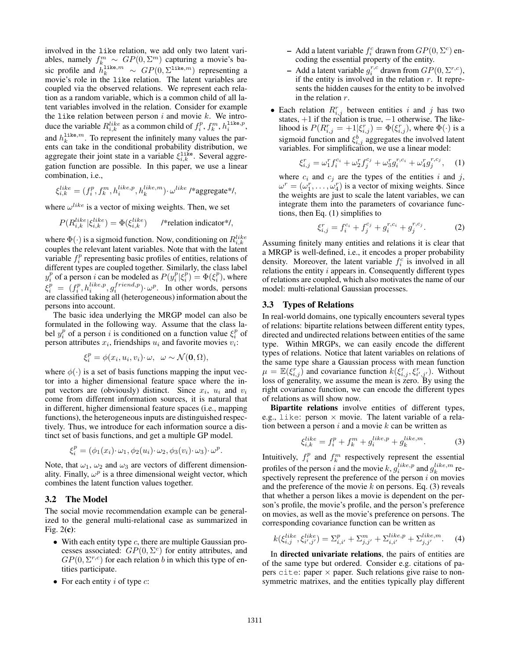involved in the like relation, we add only two latent variables, namely  $f_k^m \sim GP(0, \Sigma^m)$  capturing a movie's basic profile and  $h_k^{\text{like},m} \sim GP(0, \Sigma^{\text{like},m})$  representing a movie's role in the like relation. The latent variables are movie's role in the like relation. The latent variables are coupled via the observed relations. We represent each relation as a random variable, which is a common child of all latent variables involved in the relation. Consider for example the like relation between person  $i$  and movie  $k$ . We introduce the variable  $R_{i,k}^{like}$  as a common child of  $f_i^p, f_k^m, h_i^{\text{like},p}$ , and  $h_k^{\text{like},m}$ . To represent the infinitely many values the parents can take in the conditional probability distribution, we aggregate their joint state in a variable  $\xi_{i,k}^{\text{like}}$ . Several aggregation function are possible. In this paper, we use a linear combination, i.e.,

$$
\xi_{i,k}^{like} = (f_i^p, f_k^m, h_i^{like,p}, h_k^{like,m}) \cdot \omega^{like} / \text{*aggregate*} /,
$$

where  $\omega^{like}$  is a vector of mixing weights. Then, we set

$$
P(R_{i,k}^{like}|\xi_{i,k}^{like}) = \Phi(\xi_{i,k}^{like}) \qquad \text{/*relation indicator*},
$$

where  $\Phi(\cdot)$  is a sigmoid function. Now, conditioning on  $R_{i,k}^{like}$ <br>counles the relevant latent variables. Note that with the latent couples the relevant latent variables. Note that with the latent variable  $f_i^p$  representing basic profiles of entities, relations of different types are coupled together. Similarly, the class label  $y_i^p$  of a person *i* can be modeled as  $P(y_i^p | \xi_i^p) = \Phi(\xi_i^p)$ , where  $\xi_i^p = (f_i^p, h_i^{like,p}, g_i^{friend,p}) \cdot \omega^p$ . In other words, persons are classified taking all (heterogeneous) information about the are classified taking all (heterogeneous) information about the persons into account.

The basic idea underlying the MRGP model can also be formulated in the following way. Assume that the class label  $y_i^p$  of a person i is conditioned on a function value  $\xi_i^p$  of person attributes  $x_i$ , friendships  $u_i$  and favorite movies  $v_i$ :

$$
\xi_i^p = \phi(x_i, u_i, v_i) \cdot \omega, \ \ \omega \sim \mathcal{N}(\mathbf{0}, \Omega),
$$

where  $\phi(\cdot)$  is a set of basis functions mapping the input vector into a higher dimensional feature space where the input vectors are (obviously) distinct. Since  $x_i$ ,  $u_i$  and  $v_i$ come from different information sources, it is natural that in different, higher dimensional feature spaces (i.e., mapping functions), the heterogeneous inputs are distinguished respectively. Thus, we introduce for each information source a distinct set of basis functions, and get a multiple GP model.

$$
\xi_i^p = (\phi_1(x_i) \cdot \omega_1, \phi_2(u_i) \cdot \omega_2, \phi_3(v_i) \cdot \omega_3) \cdot \omega^p.
$$

Note, that  $\omega_1$ ,  $\omega_2$  and  $\omega_3$  are vectors of different dimensionality. Finally,  $\omega^p$  is a three dimensional weight vector, which combines the latent function values together.

#### 3.2 The Model

The social movie recommendation example can be generalized to the general multi-relational case as summarized in Fig. 2(c):

- With each entity type  $c$ , there are multiple Gaussian processes associated:  $GP(0, \Sigma^c)$  for entity attributes, and  $GP(0, \Sigma^{r,c})$  for each relation b in which this type of entities participate.
- For each entity  $i$  of type  $c$ :
- Add a latent variable  $f_i^c$  drawn from  $GP(0, \Sigma^c)$  encoding the essential property of the entity coding the essential property of the entity.
- Add a latent variable  $g_i^{r,c}$  drawn from  $GP(0, \Sigma^{r,c})$ ,<br>if the entity is involved in the relation r. It repreif the entity is involved in the relation  $r$ . It represents the hidden causes for the entity to be involved in the relation r.
- Each relation  $R_{i,j}^r$  between entities i and j has two states,  $+1$  if the relation is true,  $-1$  otherwise. The likelihood is  $P(R_{i,j}^r = +1 | \xi_{i,j}^r) = \Phi(\xi_{i,j}^r)$ , where  $\Phi(\cdot)$  is a sigmoid function and  $\zeta_{i,j}^b$  accreases the involved latent sigmoid function and  $\xi_{i,j}^b$  aggregates the involved latent variables. For simplification, we use a linear model:

$$
\xi_{i,j}^r = \omega_1^r f_i^{c_i} + \omega_2^r f_j^{c_j} + \omega_3^r g_i^{r,c_i} + \omega_4^r g_j^{r,c_j}, \quad (1)
$$

where  $c_i$  and  $c_j$  are the types of the entities i and j,  $\omega^r = (\omega_1^r, \dots, \omega_4^r)$  is a vector of mixing weights. Since the weights are just to scale the latent variables we can the weights are just to scale the latent variables, we can integrate them into the parameters of covariance functions, then Eq. (1) simplifies to

$$
\xi_{i,j}^r = f_i^{c_i} + f_j^{c_j} + g_i^{r,c_i} + g_j^{r,c_j}.
$$
 (2)

Assuming finitely many entities and relations it is clear that a MRGP is well-defined, i.e., it encodes a proper probability density. Moreover, the latent variable  $f_i^c$  is involved in all relations the entity  $i$  appears in. Consequently different types of relations are coupled, which also motivates the name of our model: multi-relational Gaussian processes.

#### 3.3 Types of Relations

In real-world domains, one typically encounters several types of relations: bipartite relations between different entity types, directed and undirected relations between entities of the same type. Within MRGPs, we can easily encode the different types of relations. Notice that latent variables on relations of the same type share a Gaussian process with mean function  $\mu = \mathbb{E}(\xi_{i,j}^r)$  and covariance function  $k(\xi_{i,j}^r, \xi_{i',j'}^r)$ . Without loss of generality we assume the mean is zero. By using the loss of generality, we assume the mean is zero. By using the right covariance function, we can encode the different types of relations as will show now.

Bipartite relations involve entities of different types, e.g., like: person  $\times$  movie. The latent variable of a relation between a person  $i$  and a movie  $k$  can be written as

$$
\xi_{i,k}^{like} = f_i^p + f_k^m + g_i^{like,p} + g_k^{like,m}.\tag{3}
$$

Intuitively,  $f_i^p$  and  $f_k^m$  respectively represent the essential profiles of the person i and the movie  $k$ ,  $g_i^{like,p}$  and  $g_k^{like,m}$  respectively represent the preference of the person  $i$  on movies and the preference of the movie k on persons. Eq.  $(3)$  reveals that whether a person likes a movie is dependent on the person's profile, the movie's profile, and the person's preference on movies, as well as the movie's preference on persons. The corresponding covariance function can be written as

$$
k(\xi_{i,j}^{like}, \xi_{i',j'}^{like}) = \Sigma_{i,i'}^p + \Sigma_{j,j'}^m + \Sigma_{i,i'}^{like,p} + \Sigma_{j,j'}^{like,m}.
$$
 (4)

In directed univariate relations, the pairs of entities are of the same type but ordered. Consider e.g. citations of papers cite: paper  $\times$  paper. Such relations give raise to nonsymmetric matrixes, and the entities typically play different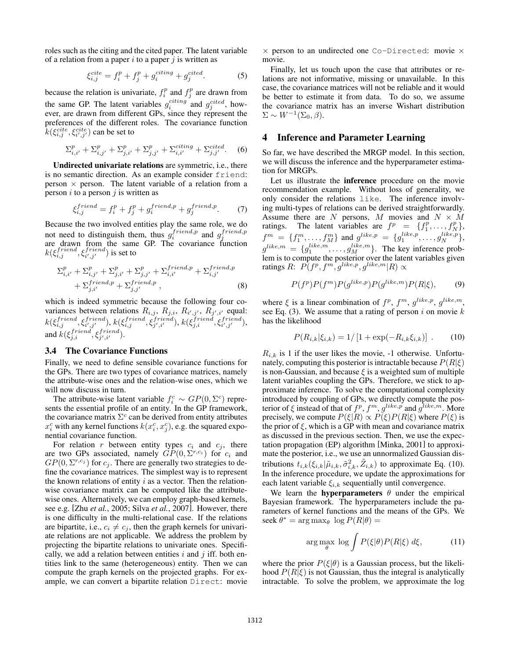roles such as the citing and the cited paper. The latent variable of a relation from a paper  $i$  to a paper  $j$  is written as

$$
\xi_{i,j}^{cite} = f_i^p + f_j^p + g_i^{citing} + g_j^{cited}.\tag{5}
$$

because the relation is univariate,  $f_i^p$  and  $f_j^p$  are drawn from the same GP. The latent variables  $g_i^{citing}$  and  $g_j^{cited}$ , however, are drawn from different GPs, since they represent the preferences of the different roles. The covariance function  $\hat{k}(\xi_{i,j}^{cite}, \xi_{i',j'}^{cite})$  can be set to

$$
\Sigma_{i,i'}^p + \Sigma_{i,j'}^p + \Sigma_{j,i'}^p + \Sigma_{j,j'}^p + \Sigma_{i,i'}^{citing} + \Sigma_{j,j'}^{cited}.
$$
 (6)

Undirected univariate relations are symmetric, i.e., there is no semantic direction. As an example consider friend: person  $\times$  person. The latent variable of a relation from a person  $i$  to a person  $j$  is written as

$$
\xi_{i,j}^{friend} = f_i^p + f_j^p + g_i^{friend,p} + g_j^{friend,p}.\tag{7}
$$

Because the two involved entities play the same role, we do not need to distinguish them, thus  $g_i^{friend,p}$  and  $g_j^{friend,p}$  $j_i$  and  $j_j$  are drawn from the same GP. The covariance function  $k(\xi_{i,j}^{friend}, \xi_{i',j'}^{friend})$  is set to

$$
\Sigma_{i,i'}^{p} + \Sigma_{i,j'}^{p} + \Sigma_{j,i'}^{p} + \Sigma_{j,j'}^{p} + \Sigma_{i,i'}^{friend,p} + \Sigma_{i,j'}^{friend,p} + \Sigma_{j,i'}^{friend,p} + \Sigma_{j,i'}^{friend,p} ,
$$
\n(8)

which is indeed symmetric because the following four covariances between relations  $R_{i,j}$ ,  $R_{j,i}$ ,  $R_{i',j'}$ ,  $R_{j',i'}$  equal:  $k(\xi_{i,j}^{friend}, \xi_{j',j'}^{friend}), k(\xi_{i,j}^{friend}, \xi_{j',i'}^{friend}), k(\xi_{j,i}^{friend}, \xi_{i',j'}^{friend}),$ and  $k(\xi_{j,i}^{friend}, \xi_{j',i'}^{friend})$ .

#### 3.4 The Covariance Functions

Finally, we need to define sensible covariance functions for the GPs. There are two types of covariance matrices, namely the attribute-wise ones and the relation-wise ones, which we will now discuss in turn.

The attribute-wise latent variable  $f_i^c \sim GP(0, \Sigma^c)$  repre-<br>the essential profile of an entity. In the GP framework sents the essential profile of an entity. In the GP framework, the covariance matrix  $\Sigma^c$  can be derived from entity attributes  $x_i^c$  with any kernel functions  $k(x_i^c, x_j^c)$ , e.g. the squared exponential covariance function nential covariance function.

For relation r between entity types  $c_i$  and  $c_j$ , there are two GPs associated, namely  $GP(0, \Sigma^{r,c_i})$  for  $c_i$  and  $GP(0, \Sigma^{r,c_j})$  for  $c_j$ . There are generally two strategies to define the covariance matrices. The simplest way is to represent the known relations of entity  $i$  as a vector. Then the relationwise covariance matrix can be computed like the attributewise ones. Alternatively, we can employ graph-based kernels, see e.g. [Zhu *et al.*, 2005; Silva *et al.*, 2007]. However, there is one difficulty in the multi-relational case. If the relations are bipartite, i.e.,  $c_i \neq c_j$ , then the graph kernels for univariate relations are not applicable. We address the problem by projecting the bipartite relations to univariate ones. Specifically, we add a relation between entities  $i$  and  $j$  iff. both entities link to the same (heterogeneous) entity. Then we can compute the graph kernels on the projected graphs. For example, we can convert a bipartite relation Direct: movie

 $\times$  person to an undirected one Co-Directed: movie  $\times$ movie.

Finally, let us touch upon the case that attributes or relations are not informative, missing or unavailable. In this case, the covariance matrices will not be reliable and it would be better to estimate it from data. To do so, we assume the covariance matrix has an inverse Wishart distribution  $\Sigma \sim W^{-1}(\Sigma_0, \beta).$ 

## 4 Inference and Parameter Learning

So far, we have described the MRGP model. In this section, we will discuss the inference and the hyperparameter estimation for MRGPs.

Let us illustrate the inference procedure on the movie recommendation example. Without loss of generality, we only consider the relations like. The inference involving multi-types of relations can be derived straightforwardly. Assume there are N persons, M movies and  $N \times M$ ratings. The latent variables are  $f^p = \{f_1^p, \ldots, f_N^p\}$ ,  $f_m^m$  ( $f_m^m$  and  $g_k^{\text{like},p}$  ( $g_k^{\text{like},p}$ )  $g_k^{\text{like},p}$  $f^m = \{f_1^m, \ldots, f_M^m\}$  and  $g^{like,p} = \{g_1^{like,p}, \ldots, g_N^{like,p}\}$ ,  $g_{like,m}^{like,m}$ ,  $g_{like,m}^{like,m}$ ,  $g_{like,m}^{like,p}$  $g^{like,m} = \{g_1^{like,m}, \ldots, g_M^{like,m}\}$ . The key inference prob-<br>lem is to compute the posterior over the latent variables given lem is to compute the posterior over the latent variables given ratings  $R: P(f^p, f^m, g^{like,p}, g^{like,m}|R) \propto$ 

$$
P(f^p)P(f^m)P(g^{like,p})P(g^{like,m})P(R|\xi),\qquad(9)
$$

where  $\xi$  is a linear combination of  $f^p$ ,  $f^m$ ,  $g^{like,p}$ ,  $g^{like,m}$ , see Eq. (3). We assume that a rating of person i on movie  $k$ has the likelihood

$$
P(R_{i,k}|\xi_{i,k}) = 1/[1 + \exp(-R_{i,k}\xi_{i,k})] . \qquad (10)
$$

 $R_{i,k}$  is 1 if the user likes the movie, -1 otherwise. Unfortunately, computing this posterior is intractable because  $P(R|\xi)$ is non-Gaussian, and because  $\xi$  is a weighted sum of multiple latent variables coupling the GPs. Therefore, we stick to approximate inference. To solve the computational complexity introduced by coupling of GPs, we directly compute the posterior of  $\xi$  instead of that of  $f^p$ ,  $f^m$ ,  $g^{like,p}$  and  $g^{like,m}$ . More precisely, we compute  $P(\xi|R) \propto P(\xi)P(R|\xi)$  where  $P(\xi)$  is the prior of  $\xi$ , which is a GP with mean and covariance matrix as discussed in the previous section. Then, we use the expectation propagation (EP) algorithm [Minka, 2001] to approximate the posterior, i.e., we use an unnormalized Gaussian distributions  $t_{i,k}(\xi_{i,k}|\tilde{\mu}_{i,k}, \tilde{\sigma}_{i,k}^2, \tilde{Z}_{i,k})$  to approximate Eq. (10).<br>In the inference procedure, we undate the approximations for In the inference procedure, we update the approximations for each latent variable  $\xi_{i,k}$  sequentially until convergence.

We learn the **hyperparameters**  $\theta$  under the empirical Bayesian framework. The hyperparameters include the parameters of kernel functions and the means of the GPs. We seek  $\theta^* = \arg \max_{\theta} \log P(R|\theta) =$ 

$$
\arg\max_{\theta} \log \int P(\xi|\theta) P(R|\xi) \, d\xi, \tag{11}
$$

where the prior  $P(\xi|\theta)$  is a Gaussian process, but the likelihood  $P(R|\xi)$  is not Gaussian, thus the integral is analytically intractable. To solve the problem, we approximate the log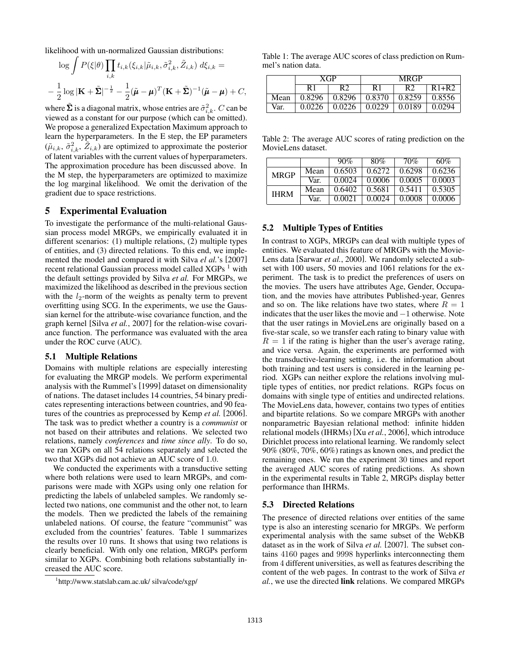likelihood with un-normalized Gaussian distributions:

$$
\log \int P(\xi|\theta) \prod_{i,k} t_{i,k}(\xi_{i,k}|\tilde{\mu}_{i,k}, \tilde{\sigma}_{i,k}^2, \tilde{Z}_{i,k}) d\xi_{i,k} =
$$
  

$$
- \frac{1}{2} \log |\mathbf{K} + \tilde{\Sigma}|^{-\frac{1}{2}} - \frac{1}{2} (\tilde{\boldsymbol{\mu}} - \boldsymbol{\mu})^T (\mathbf{K} + \tilde{\Sigma})^{-1} (\tilde{\boldsymbol{\mu}} - \boldsymbol{\mu}) + C,
$$
  
where  $\tilde{\Sigma}$  is a diagonal matrix, whose entries are  $\tilde{\sigma}_{i,k}^2$ . C can be  
viewed as a constant for our purpose (which can be omitted)

viewed as a constant for our purpose (which can be omitted). We propose a generalized Expectation Maximum approach to learn the hyperparameters. In the E step, the EP parameters  $(\tilde{\mu}_{i,k}, \tilde{\sigma}_{i,k}^2, \tilde{Z}_{i,k})$  are optimized to approximate the posterior of latent variables with the current values of hyperparameters of latent variables with the current values of hyperparameters. The approximation procedure has been discussed above. In the M step, the hyperparameters are optimized to maximize the log marginal likelihood. We omit the derivation of the gradient due to space restrictions.

### 5 Experimental Evaluation

To investigate the performance of the multi-relational Gaussian process model MRGPs, we empirically evaluated it in different scenarios: (1) multiple relations, (2) multiple types of entities, and (3) directed relations. To this end, we implemented the model and compared it with Silva *el al.*'s [2007] recent relational Gaussian process model called  $XGPs<sup>1</sup>$  with the default settings provided by Silva *et al.* For MRGPs, we maximized the likelihood as described in the previous section with the  $l_2$ -norm of the weights as penalty term to prevent overfitting using SCG. In the experiments, we use the Gaussian kernel for the attribute-wise covariance function, and the graph kernel [Silva *et al.*, 2007] for the relation-wise covariance function. The performance was evaluated with the area under the ROC curve (AUC).

#### 5.1 Multiple Relations

Domains with multiple relations are especially interesting for evaluating the MRGP models. We perform experimental analysis with the Rummel's [1999] dataset on dimensionality of nations. The dataset includes 14 countries, 54 binary predicates representing interactions between countries, and 90 features of the countries as preprocessed by Kemp *et al.* [2006]. The task was to predict whether a country is a *communist* or not based on their attributes and relations. We selected two relations, namely *conferences* and *time since ally*. To do so, we ran XGPs on all 54 relations separately and selected the two that XGPs did not achieve an AUC score of 1.0.

We conducted the experiments with a transductive setting where both relations were used to learn MRGPs, and comparisons were made with XGPs using only one relation for predicting the labels of unlabeled samples. We randomly selected two nations, one communist and the other not, to learn the models. Then we predicted the labels of the remaining unlabeled nations. Of course, the feature "communist" was excluded from the countries' features. Table 1 summarizes the results over 10 runs. It shows that using two relations is clearly beneficial. With only one relation, MRGPs perform similar to XGPs. Combining both relations substantially increased the AUC score.

Table 1: The average AUC scores of class prediction on Rummel's nation data.

|      | XGP    |        | <b>MRGP</b> |        |           |
|------|--------|--------|-------------|--------|-----------|
|      | R1     | R2     | R1          | R2     | $R1 + R2$ |
| Mean | 0.8296 | 0.8296 | 0.8370      | 0.8259 | 0.8556    |
| Var. | 0.0226 | 0.0226 | 0.0229      | 0.0189 | 0.0294    |

Table 2: The average AUC scores of rating prediction on the MovieLens dataset.

|             |      | 90%    | 80%    | 70%    | $60\%$  |
|-------------|------|--------|--------|--------|---------|
| <b>MRGP</b> | Mean | 0.6503 | 0.6272 | 0.6298 | 0.6236  |
|             | Var. | 0.0024 | 0.0006 | 0.0005 | 0.0003  |
| <b>IHRM</b> | Mean | 0.6402 | 0.5681 | 0.5411 | 0.5305  |
|             | Var. | 0.0021 | 0.0024 | 0.0008 | (10006) |

#### 5.2 Multiple Types of Entities

In contrast to XGPs, MRGPs can deal with multiple types of entities. We evaluated this feature of MRGPs with the Movie-Lens data [Sarwar *et al.*, 2000]. We randomly selected a subset with 100 users, 50 movies and 1061 relations for the experiment. The task is to predict the preferences of users on the movies. The users have attributes Age, Gender, Occupation, and the movies have attributes Published-year, Genres and so on. The like relations have two states, where  $R = 1$ indicates that the user likes the movie and <sup>−</sup>1 otherwise. Note that the user ratings in MovieLens are originally based on a five-star scale, so we transfer each rating to binary value with  $R = 1$  if the rating is higher than the user's average rating, and vice versa. Again, the experiments are performed with the transductive-learning setting, i.e. the information about both training and test users is considered in the learning period. XGPs can neither explore the relations involving multiple types of entities, nor predict relations. RGPs focus on domains with single type of entities and undirected relations. The MovieLens data, however, contains two types of entities and bipartite relations. So we compare MRGPs with another nonparametric Bayesian relational method: infinite hidden relational models (IHRMs) [Xu *et al.*, 2006], which introduce Dirichlet process into relational learning. We randomly select 90% (80%, 70%, 60%) ratings as known ones, and predict the remaining ones. We run the experiment 30 times and report the averaged AUC scores of rating predictions. As shown in the experimental results in Table 2, MRGPs display better performance than IHRMs.

#### 5.3 Directed Relations

The presence of directed relations over entities of the same type is also an interesting scenario for MRGPs. We perform experimental analysis with the same subset of the WebKB dataset as in the work of Silva *et al.* [2007]. The subset contains 4160 pages and 9998 hyperlinks interconnecting them from 4 different universities, as well as features describing the content of the web pages. In contrast to the work of Silva *et al.*, we use the directed link relations. We compared MRGPs

<sup>1</sup> http://www.statslab.cam.ac.uk/ silva/code/xgp/